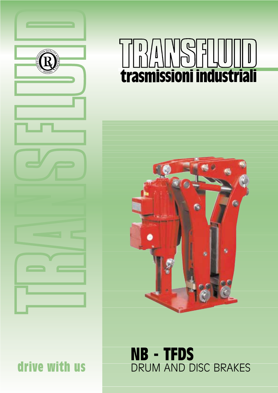

# $\mathbf{D}$ **trasmissioni industriali**



## **NB - TFDS** DRUM AND DISC BRAKES

drive with us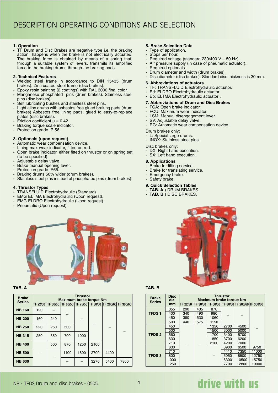#### **1. Operation**

- TF Drum and Disc Brakes are negative type i.e. the braking action happens when the brake is not electrically actuated. The braking force is obtained by means of a spring that, through a suitable system of levers, transmits its amplified force to the braking drums through the braking pads.

#### **2. Technical Features**

- Welded steel frame in accordance to DIN 15435 (drum brakes). Zinc coated steel frame (disc brakes).
- Epoxy resin painting (2 coatings) with RAL 3000 final color.
- Manganese phosphated pins (drum brakes). Stainless steel pins (disc brakes).
- Self lubricating bushes and stainless steel pins.
- Light alloy drums with asbestos free glued braking pads (drum brakes) Asbestos free lining pads, glued to easy-to-replace plates (disc brakes).
- Friction coefficient  $\mu = 0.42$ .
- Braking torque scale indicator.
- Protection grade IP 56.

#### **3. Optionals (upon request)**

- Automatic wear compensation device.
- Lining max wear indicator, fitted on rod.
- Open brake indicator, either fitted on thrustor or on spring set (to be specified).
- Adjustable delay valve.
- Brake manual opening lever.
- Protection grade IP65.
- Braking drums 50% wider (drum brakes).
- Stainless steel pins instead of phosphated pins (drum brakes).

#### **4. Thrustor Types**

- TRANSFLUID Electrohydraulic (Standard).
- EMG ELTMA Electrohydraulic (Upon request).
- EMG ELDRO Electrohydraulic (Upon request).
- Pneumatic (Upon request).



#### **TAB. A**

| <b>Brake</b><br><b>Series</b> |     |     | Maximum brake torque Nm | <b>Thrustor</b> |      |      | TF 22/50  TF 30/50   TF 60/50   TF 75/50   TF 80/60   TF 200/60   TF 300/60 |
|-------------------------------|-----|-----|-------------------------|-----------------|------|------|-----------------------------------------------------------------------------|
|                               |     |     |                         |                 |      |      |                                                                             |
| <b>NB 160</b>                 | 120 |     |                         |                 |      |      |                                                                             |
| <b>NB 200</b>                 | 160 | 240 |                         |                 |      |      |                                                                             |
| <b>NB 250</b>                 | 220 | 250 | 500                     |                 |      |      |                                                                             |
| <b>NB 315</b>                 | 250 | 350 | 700                     | 1000            |      |      |                                                                             |
| <b>NB 400</b>                 |     | 500 | 870                     | 1250            | 2100 |      |                                                                             |
| <b>NB 500</b>                 |     |     | 1100                    | 1600            | 2700 | 4400 |                                                                             |
| <b>NB 630</b>                 |     |     |                         |                 | 3270 | 5400 | 7800                                                                        |

#### **5. Brake Selection Data**

- Type of application.
- Stops per hour.
- Required voltage (standard  $230/400$  V 50 Hz).
- Air pressure supply (in case of pneumatic actuator).
- Required optionals.
- Drum diameter and width (drum brakes). - Disc diameter (disc brakes). Standard disc thickness is 30 mm.
- **6. Abbreviations of actuators**
- TF: TRANSFLUID Electrohydraulic actuator.
- Ed: ELDRO Electrohydraulic actuator.
- Eb: ELTMA Electrohydraulic actuator .

#### **7. Abbreviations of Drum and Disc Brakes**

- FCA: Open brake indicator.
- FCU: Maximum wear indicator.
- LSM: Manual disengagement lever.
- SV: Adjustable delay valve.
- RG: Automatic wear compensation device.

Drum brakes only:

- L: Special large drums.
- INOX: Stainless steel pins.
- Disc brakes only:
- DX: Right hand execution. - SX: Left hand execution.
- 
- **8. Applications**
- Brake for lifting service.
- Brake for translating service.
- Emergency brake.
- Safety brake.
- **9. Quick Selection Tables**
- **TAB. A** ) DRUM BRAKES.
- **TAB. B** ) DISC BRAKES.



#### **TAB. B**

| <b>Brake</b><br><b>Series</b> | <b>Disc</b><br>dia. |     |     | Maximum brake torque Nm | Thrustor |       |                                                                   |
|-------------------------------|---------------------|-----|-----|-------------------------|----------|-------|-------------------------------------------------------------------|
|                               | mm                  |     |     |                         |          |       | TF 22/50   TF 30/50   TF 60/50   TF 80/60   TF 200/60   TF 300/60 |
|                               | 355                 | 290 | 435 | 870                     |          |       |                                                                   |
| <b>TFDS1</b>                  | 400                 | 340 | 490 | 980                     |          |       |                                                                   |
|                               | 450                 | 390 | 530 | 1060                    |          |       |                                                                   |
|                               | 500                 | 440 | 575 | 1150                    |          |       |                                                                   |
|                               | 450                 |     |     | 1350                    | 2700     | 4500  |                                                                   |
|                               | 500                 |     |     | 1500                    | 3000     | 5000  |                                                                   |
| <b>TFDS 2</b>                 | 560                 |     |     | 1700                    | 3400     | 5700  |                                                                   |
|                               | 630                 |     |     | 1850                    | 3700     | 6200  |                                                                   |
|                               | 710                 |     |     | 2100                    | 4200     | 7000  |                                                                   |
|                               | 630                 |     |     |                         | 3900     | 6500  | 9750                                                              |
|                               | 710                 |     |     |                         | 4410     | 7350  | 11000                                                             |
| <b>TFDS3</b>                  | 800                 |     |     |                         | 5050     | 8500  | 12750                                                             |
|                               | 1000                |     |     |                         | 6300     | 10500 | 15750                                                             |
|                               | 1250                |     |     |                         | 7700     | 12800 | 19000                                                             |

### drive with us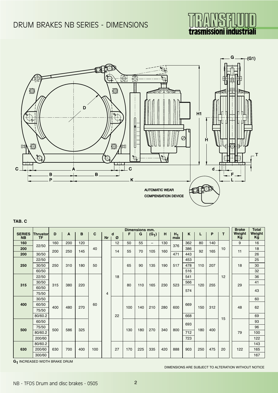



#### **TAB. C**

|                            |                       | Dimensions mm. |     |     |     |           |        |     |     |                          |     |              |     |     | <b>Brake</b> | <b>Total</b> |              |              |  |  |  |    |
|----------------------------|-----------------------|----------------|-----|-----|-----|-----------|--------|-----|-----|--------------------------|-----|--------------|-----|-----|--------------|--------------|--------------|--------------|--|--|--|----|
| <b>SERIES</b><br><b>NB</b> | Thrustor<br><b>TF</b> | D              | A   | в   | C   | <b>Nr</b> | d<br>Ø | F   | G   | $(G_1)$                  | H   | $H_1$<br>max | K   | L   | P            | T.           | Weight<br>Kg | Weight<br>Kg |  |  |  |    |
| 160                        |                       | 160            | 200 | 120 |     |           | 12     | 50  | 55  | $\overline{\phantom{0}}$ | 130 |              | 362 | 80  | 140          |              | 9            | 16           |  |  |  |    |
| 200                        | 22/50                 |                |     |     | 40  |           |        |     |     |                          |     | 376          | 386 |     |              | 10           |              | 18           |  |  |  |    |
| 200                        | 30/50                 | 200            | 250 | 145 |     |           | 14     | 55  | 70  | 105                      | 160 | 471          | 443 | 92  | 165          |              | 11           | 26           |  |  |  |    |
|                            | 22/50                 |                |     |     |     |           |        |     |     |                          |     |              | 453 |     |              |              |              | 25           |  |  |  |    |
| 250                        | 30/50                 | 250            | 310 | 180 | 50  |           |        | 65  | 90  | 135                      | 190 | 517          | 478 | 110 | 207          |              | 18           | 30           |  |  |  |    |
|                            | 60/50                 |                |     |     |     |           |        |     |     |                          |     |              | 516 |     |              |              |              | 32           |  |  |  |    |
|                            | 22/50                 | 315            |     |     |     |           | 18     | 80  | 110 | 165                      | 230 | 523          | 541 | 120 | 255          | 12           | 29           | 36           |  |  |  |    |
| 315                        | 30/50                 |                | 380 | 220 |     |           |        |     |     |                          |     |              | 566 |     |              |              |              | 41           |  |  |  |    |
|                            | 60/50                 |                |     |     |     |           |        |     |     |                          |     |              | 574 |     |              |              |              | 43           |  |  |  |    |
|                            | 75/50                 |                |     |     |     | 4         |        |     |     |                          |     |              |     |     |              |              |              |              |  |  |  |    |
|                            | 30/50                 | 400            |     | 270 |     |           |        |     |     |                          |     |              |     |     |              |              |              |              |  |  |  | 60 |
| 400                        | 60/50                 |                | 480 |     | 60  |           |        | 100 | 140 | 210                      | 280 | 600          | 669 | 150 | 312          |              | 48           | 62           |  |  |  |    |
|                            | 75/50                 |                |     |     |     |           |        |     |     |                          |     |              |     |     |              |              |              |              |  |  |  |    |
|                            | 80/60.2               |                |     |     |     |           | 22     |     |     |                          |     |              | 668 |     |              | 15           |              | 69           |  |  |  |    |
|                            | 60/50                 |                |     |     |     |           |        |     |     |                          |     |              | 693 |     |              |              |              | 93           |  |  |  |    |
| 500                        | 75/50                 | 500            | 586 | 325 |     |           |        | 130 | 180 | 270                      | 340 | 800          |     | 180 | 400          |              |              | 96           |  |  |  |    |
|                            | 80/60.2               |                |     |     |     |           |        |     |     |                          |     |              | 712 |     |              |              | 79           | 100          |  |  |  |    |
|                            | 200/60                |                |     |     |     |           |        |     |     |                          |     |              | 723 |     |              |              |              | 122          |  |  |  |    |
|                            | 80/60.2               |                |     |     |     |           |        |     |     |                          |     |              |     |     |              |              |              | 143          |  |  |  |    |
| 630                        | 200/60                | 630            | 700 | 400 | 100 |           | 27     | 170 | 225 | 335                      | 420 | 888          | 903 | 250 | 475          | 20           | 122          | 165          |  |  |  |    |
|                            | 300/60                |                |     |     |     |           |        |     |     |                          |     |              |     |     |              |              |              | 167          |  |  |  |    |

**G1** INCREASED WIDTH BRAKE DRUM

DIMENSIONS ARE SUBJECT TO ALTERATION WITHOUT NOTICE